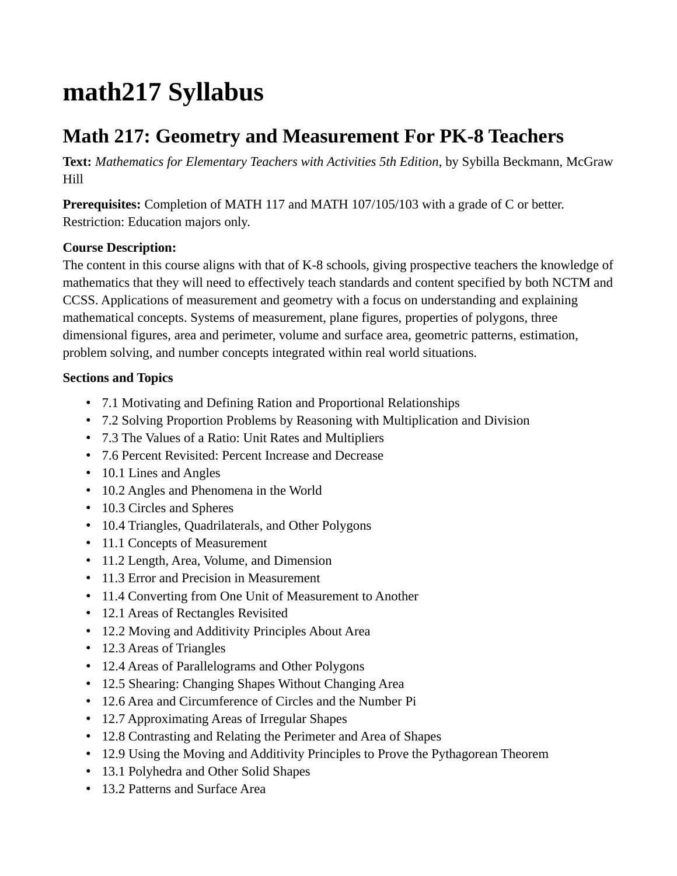## **math217 Syllabus**

## **Math 217: Geometry and Measurement For PK-8 Teachers**

**Text:** *Mathematics for Elementary Teachers with Activities 5th Edition*, by Sybilla Beckmann, McGraw Hill

**Prerequisites:** Completion of MATH 117 and MATH 107/105/103 with a grade of C or better. Restriction: Education majors only.

## **Course Description:**

The content in this course aligns with that of K-8 schools, giving prospective teachers the knowledge of mathematics that they will need to effectively teach standards and content specified by both NCTM and CCSS. Applications of measurement and geometry with a focus on understanding and explaining mathematical concepts. Systems of measurement, plane figures, properties of polygons, three dimensional figures, area and perimeter, volume and surface area, geometric patterns, estimation, problem solving, and number concepts integrated within real world situations.

## **Sections and Topics**

- 7.1 Motivating and Defining Ration and Proportional Relationships
- 7.2 Solving Proportion Problems by Reasoning with Multiplication and Division
- 7.3 The Values of a Ratio: Unit Rates and Multipliers
- 7.6 Percent Revisited: Percent Increase and Decrease
- 10.1 Lines and Angles
- 10.2 Angles and Phenomena in the World
- 10.3 Circles and Spheres
- 10.4 Triangles, Quadrilaterals, and Other Polygons
- 11.1 Concepts of Measurement
- 11.2 Length, Area, Volume, and Dimension
- 11.3 Error and Precision in Measurement
- 11.4 Converting from One Unit of Measurement to Another
- 12.1 Areas of Rectangles Revisited
- 12.2 Moving and Additivity Principles About Area
- 12.3 Areas of Triangles
- 12.4 Areas of Parallelograms and Other Polygons
- 12.5 Shearing: Changing Shapes Without Changing Area
- 12.6 Area and Circumference of Circles and the Number Pi
- 12.7 Approximating Areas of Irregular Shapes
- 12.8 Contrasting and Relating the Perimeter and Area of Shapes
- 12.9 Using the Moving and Additivity Principles to Prove the Pythagorean Theorem
- 13.1 Polyhedra and Other Solid Shapes
- 13.2 Patterns and Surface Area